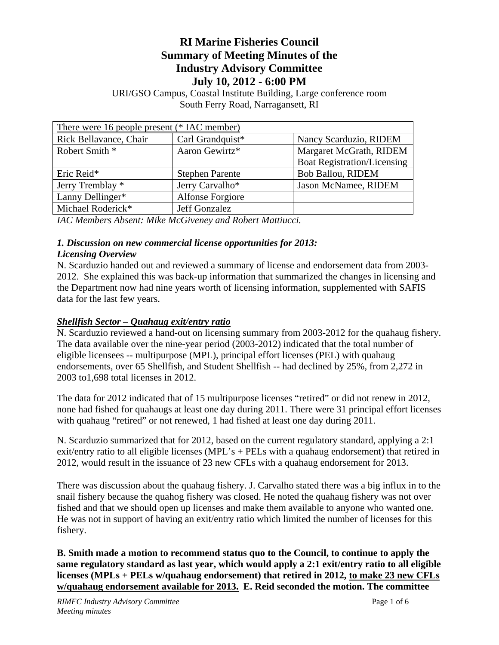# **RI Marine Fisheries Council Summary of Meeting Minutes of the Industry Advisory Committee July 10, 2012 - 6:00 PM**

URI/GSO Campus, Coastal Institute Building, Large conference room South Ferry Road, Narragansett, RI

| There were 16 people present (* IAC member) |                         |                                    |
|---------------------------------------------|-------------------------|------------------------------------|
| Rick Bellavance, Chair                      | Carl Grandquist*        | Nancy Scarduzio, RIDEM             |
| Robert Smith *                              | Aaron Gewirtz*          | Margaret McGrath, RIDEM            |
|                                             |                         | <b>Boat Registration/Licensing</b> |
| Eric Reid*                                  | <b>Stephen Parente</b>  | <b>Bob Ballou, RIDEM</b>           |
| Jerry Tremblay *                            | Jerry Carvalho*         | Jason McNamee, RIDEM               |
| Lanny Dellinger*                            | <b>Alfonse Forgiore</b> |                                    |
| Michael Roderick*                           | Jeff Gonzalez           |                                    |
|                                             |                         |                                    |

*IAC Members Absent: Mike McGiveney and Robert Mattiucci.* 

#### *1. Discussion on new commercial license opportunities for 2013: Licensing Overview*

N. Scarduzio handed out and reviewed a summary of license and endorsement data from 2003- 2012. She explained this was back-up information that summarized the changes in licensing and the Department now had nine years worth of licensing information, supplemented with SAFIS data for the last few years.

# *Shellfish Sector – Quahaug exit/entry ratio*

N. Scarduzio reviewed a hand-out on licensing summary from 2003-2012 for the quahaug fishery. The data available over the nine-year period (2003-2012) indicated that the total number of eligible licensees -- multipurpose (MPL), principal effort licenses (PEL) with quahaug endorsements, over 65 Shellfish, and Student Shellfish -- had declined by 25%, from 2,272 in 2003 to1,698 total licenses in 2012.

The data for 2012 indicated that of 15 multipurpose licenses "retired" or did not renew in 2012, none had fished for quahaugs at least one day during 2011. There were 31 principal effort licenses with quahaug "retired" or not renewed, 1 had fished at least one day during 2011.

N. Scarduzio summarized that for 2012, based on the current regulatory standard, applying a 2:1 exit/entry ratio to all eligible licenses (MPL's + PELs with a quahaug endorsement) that retired in 2012, would result in the issuance of 23 new CFLs with a quahaug endorsement for 2013.

There was discussion about the quahaug fishery. J. Carvalho stated there was a big influx in to the snail fishery because the quahog fishery was closed. He noted the quahaug fishery was not over fished and that we should open up licenses and make them available to anyone who wanted one. He was not in support of having an exit/entry ratio which limited the number of licenses for this fishery.

**B. Smith made a motion to recommend status quo to the Council, to continue to apply the same regulatory standard as last year, which would apply a 2:1 exit/entry ratio to all eligible licenses (MPLs + PELs w/quahaug endorsement) that retired in 2012, to make 23 new CFLs w/quahaug endorsement available for 2013. E. Reid seconded the motion. The committee**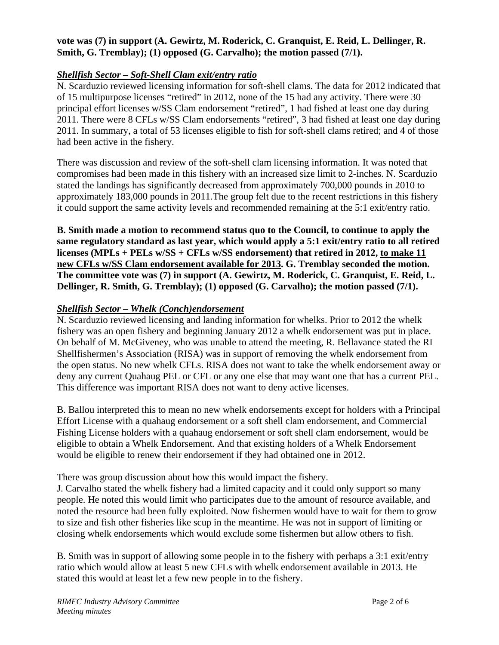#### **vote was (7) in support (A. Gewirtz, M. Roderick, C. Granquist, E. Reid, L. Dellinger, R. Smith, G. Tremblay); (1) opposed (G. Carvalho); the motion passed (7/1).**

## *Shellfish Sector – Soft-Shell Clam exit/entry ratio*

N. Scarduzio reviewed licensing information for soft-shell clams. The data for 2012 indicated that of 15 multipurpose licenses "retired" in 2012, none of the 15 had any activity. There were 30 principal effort licenses w/SS Clam endorsement "retired", 1 had fished at least one day during 2011. There were 8 CFLs w/SS Clam endorsements "retired", 3 had fished at least one day during 2011. In summary, a total of 53 licenses eligible to fish for soft-shell clams retired; and 4 of those had been active in the fishery.

There was discussion and review of the soft-shell clam licensing information. It was noted that compromises had been made in this fishery with an increased size limit to 2-inches. N. Scarduzio stated the landings has significantly decreased from approximately 700,000 pounds in 2010 to approximately 183,000 pounds in 2011.The group felt due to the recent restrictions in this fishery it could support the same activity levels and recommended remaining at the 5:1 exit/entry ratio.

**B. Smith made a motion to recommend status quo to the Council, to continue to apply the same regulatory standard as last year, which would apply a 5:1 exit/entry ratio to all retired licenses (MPLs + PELs w/SS + CFLs w/SS endorsement) that retired in 2012, to make 11 new CFLs w/SS Clam endorsement available for 2013. G. Tremblay seconded the motion. The committee vote was (7) in support (A. Gewirtz, M. Roderick, C. Granquist, E. Reid, L. Dellinger, R. Smith, G. Tremblay); (1) opposed (G. Carvalho); the motion passed (7/1).** 

## *Shellfish Sector – Whelk (Conch)endorsement*

N. Scarduzio reviewed licensing and landing information for whelks. Prior to 2012 the whelk fishery was an open fishery and beginning January 2012 a whelk endorsement was put in place. On behalf of M. McGiveney, who was unable to attend the meeting, R. Bellavance stated the RI Shellfishermen's Association (RISA) was in support of removing the whelk endorsement from the open status. No new whelk CFLs. RISA does not want to take the whelk endorsement away or deny any current Quahaug PEL or CFL or any one else that may want one that has a current PEL. This difference was important RISA does not want to deny active licenses.

B. Ballou interpreted this to mean no new whelk endorsements except for holders with a Principal Effort License with a quahaug endorsement or a soft shell clam endorsement, and Commercial Fishing License holders with a quahaug endorsement or soft shell clam endorsement, would be eligible to obtain a Whelk Endorsement. And that existing holders of a Whelk Endorsement would be eligible to renew their endorsement if they had obtained one in 2012.

There was group discussion about how this would impact the fishery.

J. Carvalho stated the whelk fishery had a limited capacity and it could only support so many people. He noted this would limit who participates due to the amount of resource available, and noted the resource had been fully exploited. Now fishermen would have to wait for them to grow to size and fish other fisheries like scup in the meantime. He was not in support of limiting or closing whelk endorsements which would exclude some fishermen but allow others to fish.

B. Smith was in support of allowing some people in to the fishery with perhaps a 3:1 exit/entry ratio which would allow at least 5 new CFLs with whelk endorsement available in 2013. He stated this would at least let a few new people in to the fishery.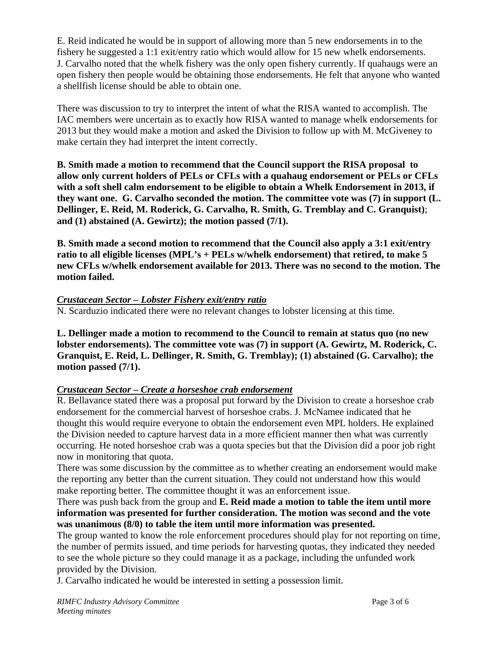E. Reid indicated he would be in support of allowing more than 5 new endorsements in to the fishery he suggested a 1:1 exit/entry ratio which would allow for 15 new whelk endorsements. J. Carvalho noted that the whelk fishery was the only open fishery currently. If quahaugs were an open fishery then people would be obtaining those endorsements. He felt that anyone who wanted a shellfish license should be able to obtain one.

There was discussion to try to interpret the intent of what the RISA wanted to accomplish. The IAC members were uncertain as to exactly how RISA wanted to manage whelk endorsements for 2013 but they would make a motion and asked the Division to follow up with M. McGiveney to make certain they had interpret the intent correctly.

**B. Smith made a motion to recommend that the Council support the RISA proposal to allow only current holders of PELs or CFLs with a quahaug endorsement or PELs or CFLs with a soft shell calm endorsement to be eligible to obtain a Whelk Endorsement in 2013, if they want one. G. Carvalho seconded the motion. The committee vote was (7) in support (L. Dellinger, E. Reid, M. Roderick, G. Carvalho, R. Smith, G. Tremblay and C. Granquist)**; **and (1) abstained (A. Gewirtz); the motion passed (7/1).** 

**B. Smith made a second motion to recommend that the Council also apply a 3:1 exit/entry ratio to all eligible licenses (MPL's + PELs w/whelk endorsement) that retired, to make 5 new CFLs w/whelk endorsement available for 2013. There was no second to the motion. The motion failed.** 

#### *Crustacean Sector – Lobster Fishery exit/entry ratio*

N. Scarduzio indicated there were no relevant changes to lobster licensing at this time.

**L. Dellinger made a motion to recommend to the Council to remain at status quo (no new lobster endorsements). The committee vote was (7) in support (A. Gewirtz, M. Roderick, C. Granquist, E. Reid, L. Dellinger, R. Smith, G. Tremblay); (1) abstained (G. Carvalho); the motion passed (7/1).** 

# *Crustacean Sector – Create a horseshoe crab endorsement*

R. Bellavance stated there was a proposal put forward by the Division to create a horseshoe crab endorsement for the commercial harvest of horseshoe crabs. J. McNamee indicated that he thought this would require everyone to obtain the endorsement even MPL holders. He explained the Division needed to capture harvest data in a more efficient manner then what was currently occurring. He noted horseshoe crab was a quota species but that the Division did a poor job right now in monitoring that quota.

There was some discussion by the committee as to whether creating an endorsement would make the reporting any better than the current situation. They could not understand how this would make reporting better. The committee thought it was an enforcement issue.

There was push back from the group and **E. Reid made a motion to table the item until more information was presented for further consideration. The motion was second and the vote was unanimous (8/0) to table the item until more information was presented.** 

The group wanted to know the role enforcement procedures should play for not reporting on time, the number of permits issued, and time periods for harvesting quotas, they indicated they needed to see the whole picture so they could manage it as a package, including the unfunded work provided by the Division.

J. Carvalho indicated he would be interested in setting a possession limit.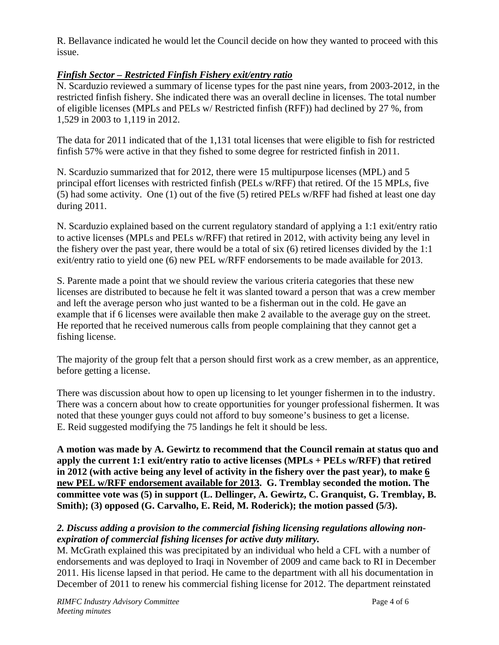R. Bellavance indicated he would let the Council decide on how they wanted to proceed with this issue.

# *Finfish Sector – Restricted Finfish Fishery exit/entry ratio*

N. Scarduzio reviewed a summary of license types for the past nine years, from 2003-2012, in the restricted finfish fishery. She indicated there was an overall decline in licenses. The total number of eligible licenses (MPLs and PELs w/ Restricted finfish (RFF)) had declined by 27 %, from 1,529 in 2003 to 1,119 in 2012.

The data for 2011 indicated that of the 1,131 total licenses that were eligible to fish for restricted finfish 57% were active in that they fished to some degree for restricted finfish in 2011.

N. Scarduzio summarized that for 2012, there were 15 multipurpose licenses (MPL) and 5 principal effort licenses with restricted finfish (PELs w/RFF) that retired. Of the 15 MPLs, five (5) had some activity. One (1) out of the five (5) retired PELs w/RFF had fished at least one day during 2011.

N. Scarduzio explained based on the current regulatory standard of applying a 1:1 exit/entry ratio to active licenses (MPLs and PELs w/RFF) that retired in 2012, with activity being any level in the fishery over the past year, there would be a total of six (6) retired licenses divided by the 1:1 exit/entry ratio to yield one (6) new PEL w/RFF endorsements to be made available for 2013.

S. Parente made a point that we should review the various criteria categories that these new licenses are distributed to because he felt it was slanted toward a person that was a crew member and left the average person who just wanted to be a fisherman out in the cold. He gave an example that if 6 licenses were available then make 2 available to the average guy on the street. He reported that he received numerous calls from people complaining that they cannot get a fishing license.

The majority of the group felt that a person should first work as a crew member, as an apprentice, before getting a license.

There was discussion about how to open up licensing to let younger fishermen in to the industry. There was a concern about how to create opportunities for younger professional fishermen. It was noted that these younger guys could not afford to buy someone's business to get a license. E. Reid suggested modifying the 75 landings he felt it should be less.

**A motion was made by A. Gewirtz to recommend that the Council remain at status quo and apply the current 1:1 exit/entry ratio to active licenses (MPLs + PELs w/RFF) that retired in 2012 (with active being any level of activity in the fishery over the past year), to make 6 new PEL w/RFF endorsement available for 2013. G. Tremblay seconded the motion. The committee vote was (5) in support (L. Dellinger, A. Gewirtz, C. Granquist, G. Tremblay, B. Smith); (3) opposed (G. Carvalho, E. Reid, M. Roderick); the motion passed (5/3).** 

#### *2. Discuss adding a provision to the commercial fishing licensing regulations allowing nonexpiration of commercial fishing licenses for active duty military.*

M. McGrath explained this was precipitated by an individual who held a CFL with a number of endorsements and was deployed to Iraqi in November of 2009 and came back to RI in December 2011. His license lapsed in that period. He came to the department with all his documentation in December of 2011 to renew his commercial fishing license for 2012. The department reinstated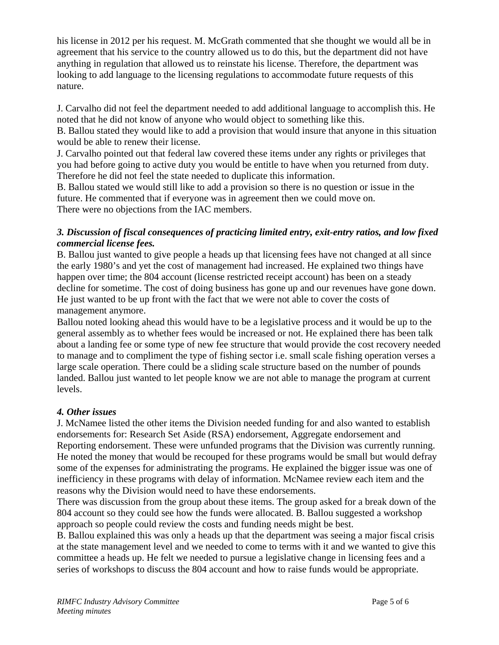his license in 2012 per his request. M. McGrath commented that she thought we would all be in agreement that his service to the country allowed us to do this, but the department did not have anything in regulation that allowed us to reinstate his license. Therefore, the department was looking to add language to the licensing regulations to accommodate future requests of this nature.

J. Carvalho did not feel the department needed to add additional language to accomplish this. He noted that he did not know of anyone who would object to something like this.

B. Ballou stated they would like to add a provision that would insure that anyone in this situation would be able to renew their license.

J. Carvalho pointed out that federal law covered these items under any rights or privileges that you had before going to active duty you would be entitle to have when you returned from duty. Therefore he did not feel the state needed to duplicate this information.

B. Ballou stated we would still like to add a provision so there is no question or issue in the future. He commented that if everyone was in agreement then we could move on. There were no objections from the IAC members.

#### *3. Discussion of fiscal consequences of practicing limited entry, exit-entry ratios, and low fixed commercial license fees.*

B. Ballou just wanted to give people a heads up that licensing fees have not changed at all since the early 1980's and yet the cost of management had increased. He explained two things have happen over time; the 804 account (license restricted receipt account) has been on a steady decline for sometime. The cost of doing business has gone up and our revenues have gone down. He just wanted to be up front with the fact that we were not able to cover the costs of management anymore.

Ballou noted looking ahead this would have to be a legislative process and it would be up to the general assembly as to whether fees would be increased or not. He explained there has been talk about a landing fee or some type of new fee structure that would provide the cost recovery needed to manage and to compliment the type of fishing sector i.e. small scale fishing operation verses a large scale operation. There could be a sliding scale structure based on the number of pounds landed. Ballou just wanted to let people know we are not able to manage the program at current levels.

#### *4. Other issues*

J. McNamee listed the other items the Division needed funding for and also wanted to establish endorsements for: Research Set Aside (RSA) endorsement, Aggregate endorsement and Reporting endorsement. These were unfunded programs that the Division was currently running. He noted the money that would be recouped for these programs would be small but would defray some of the expenses for administrating the programs. He explained the bigger issue was one of inefficiency in these programs with delay of information. McNamee review each item and the reasons why the Division would need to have these endorsements.

There was discussion from the group about these items. The group asked for a break down of the 804 account so they could see how the funds were allocated. B. Ballou suggested a workshop approach so people could review the costs and funding needs might be best.

B. Ballou explained this was only a heads up that the department was seeing a major fiscal crisis at the state management level and we needed to come to terms with it and we wanted to give this committee a heads up. He felt we needed to pursue a legislative change in licensing fees and a series of workshops to discuss the 804 account and how to raise funds would be appropriate.